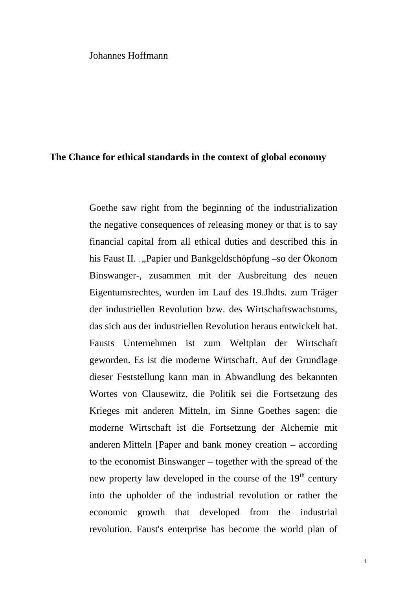## Johannes Hoffmann

## **The Chance for ethical standards in the context of global economy**

Goethe saw right from the beginning of the industrialization the negative consequences of releasing money or that is to say financial capital from all ethical duties and described this in his Faust II. ., Papier und Bankgeldschöpfung –so der Ökonom Binswanger-, zusammen mit der Ausbreitung des neuen Eigentumsrechtes, wurden im Lauf des 19.Jhdts. zum Träger der industriellen Revolution bzw. des Wirtschaftswachstums, das sich aus der industriellen Revolution heraus entwickelt hat. Fausts Unternehmen ist zum Weltplan der Wirtschaft geworden. Es ist die moderne Wirtschaft. Auf der Grundlage dieser Feststellung kann man in Abwandlung des bekannten Wortes von Clausewitz, die Politik sei die Fortsetzung des Krieges mit anderen Mitteln, im Sinne Goethes sagen: die moderne Wirtschaft ist die Fortsetzung der Alchemie mit anderen Mitteln [Paper and bank money creation – according to the economist Binswanger – together with the spread of the new property law developed in the course of the  $19<sup>th</sup>$  century into the upholder of the industrial revolution or rather the economic growth that developed from the industrial revolution. Faust's enterprise has become the world plan of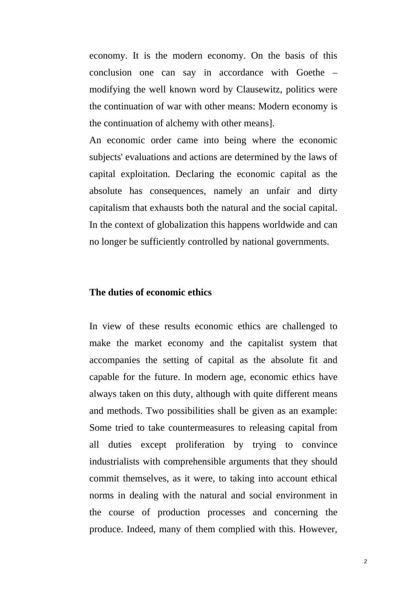economy. It is the modern economy. On the basis of this conclusion one can say in accordance with Goethe – modifying the well known word by Clausewitz, politics were the continuation of war with other means: Modern economy is the continuation of alchemy with other means].

An economic order came into being where the economic subjects' evaluations and actions are determined by the laws of capital exploitation. Declaring the economic capital as the absolute has consequences, namely an unfair and dirty capitalism that exhausts both the natural and the social capital. In the context of globalization this happens worldwide and can no longer be sufficiently controlled by national governments.

## **The duties of economic ethics**

In view of these results economic ethics are challenged to make the market economy and the capitalist system that accompanies the setting of capital as the absolute fit and capable for the future. In modern age, economic ethics have always taken on this duty, although with quite different means and methods. Two possibilities shall be given as an example: Some tried to take countermeasures to releasing capital from all duties except proliferation by trying to convince industrialists with comprehensible arguments that they should commit themselves, as it were, to taking into account ethical norms in dealing with the natural and social environment in the course of production processes and concerning the produce. Indeed, many of them complied with this. However,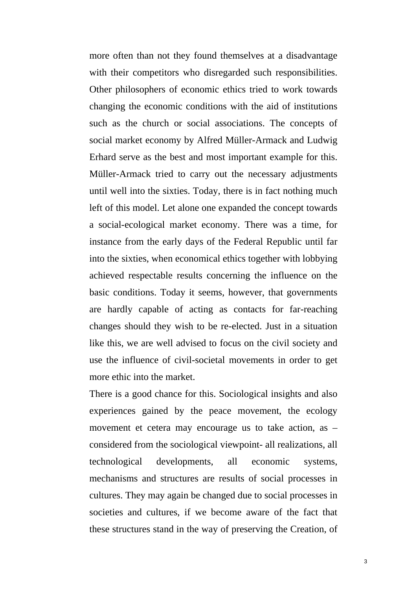more often than not they found themselves at a disadvantage with their competitors who disregarded such responsibilities. Other philosophers of economic ethics tried to work towards changing the economic conditions with the aid of institutions such as the church or social associations. The concepts of social market economy by Alfred Müller-Armack and Ludwig Erhard serve as the best and most important example for this. Müller-Armack tried to carry out the necessary adjustments until well into the sixties. Today, there is in fact nothing much left of this model. Let alone one expanded the concept towards a social-ecological market economy. There was a time, for instance from the early days of the Federal Republic until far into the sixties, when economical ethics together with lobbying achieved respectable results concerning the influence on the basic conditions. Today it seems, however, that governments are hardly capable of acting as contacts for far-reaching changes should they wish to be re-elected. Just in a situation like this, we are well advised to focus on the civil society and use the influence of civil-societal movements in order to get more ethic into the market.

There is a good chance for this. Sociological insights and also experiences gained by the peace movement, the ecology movement et cetera may encourage us to take action, as – considered from the sociological viewpoint- all realizations, all technological developments, all economic systems, mechanisms and structures are results of social processes in cultures. They may again be changed due to social processes in societies and cultures, if we become aware of the fact that these structures stand in the way of preserving the Creation, of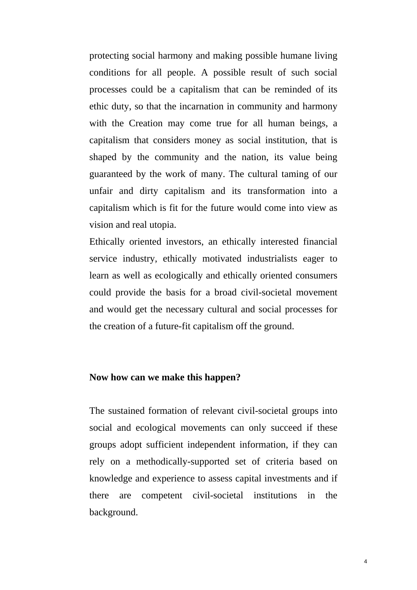protecting social harmony and making possible humane living conditions for all people. A possible result of such social processes could be a capitalism that can be reminded of its ethic duty, so that the incarnation in community and harmony with the Creation may come true for all human beings, a capitalism that considers money as social institution, that is shaped by the community and the nation, its value being guaranteed by the work of many. The cultural taming of our unfair and dirty capitalism and its transformation into a capitalism which is fit for the future would come into view as vision and real utopia.

Ethically oriented investors, an ethically interested financial service industry, ethically motivated industrialists eager to learn as well as ecologically and ethically oriented consumers could provide the basis for a broad civil-societal movement and would get the necessary cultural and social processes for the creation of a future-fit capitalism off the ground.

### **Now how can we make this happen?**

The sustained formation of relevant civil-societal groups into social and ecological movements can only succeed if these groups adopt sufficient independent information, if they can rely on a methodically-supported set of criteria based on knowledge and experience to assess capital investments and if there are competent civil-societal institutions in the background.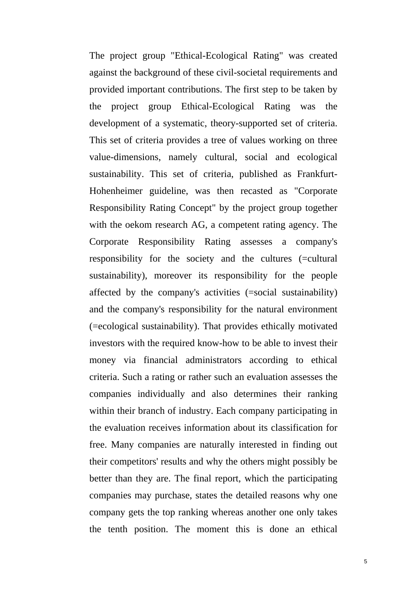The project group "Ethical-Ecological Rating" was created against the background of these civil-societal requirements and provided important contributions. The first step to be taken by the project group Ethical-Ecological Rating was the development of a systematic, theory-supported set of criteria. This set of criteria provides a tree of values working on three value-dimensions, namely cultural, social and ecological sustainability. This set of criteria, published as Frankfurt-Hohenheimer guideline, was then recasted as "Corporate Responsibility Rating Concept" by the project group together with the oekom research AG, a competent rating agency. The Corporate Responsibility Rating assesses a company's responsibility for the society and the cultures (=cultural sustainability), moreover its responsibility for the people affected by the company's activities (=social sustainability) and the company's responsibility for the natural environment (=ecological sustainability). That provides ethically motivated investors with the required know-how to be able to invest their money via financial administrators according to ethical criteria. Such a rating or rather such an evaluation assesses the companies individually and also determines their ranking within their branch of industry. Each company participating in the evaluation receives information about its classification for free. Many companies are naturally interested in finding out their competitors' results and why the others might possibly be better than they are. The final report, which the participating companies may purchase, states the detailed reasons why one company gets the top ranking whereas another one only takes the tenth position. The moment this is done an ethical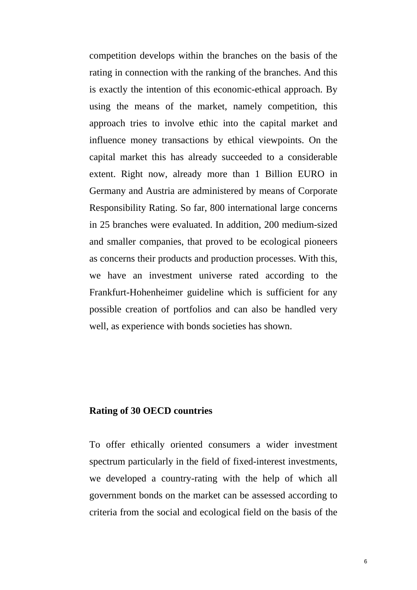competition develops within the branches on the basis of the rating in connection with the ranking of the branches. And this is exactly the intention of this economic-ethical approach. By using the means of the market, namely competition, this approach tries to involve ethic into the capital market and influence money transactions by ethical viewpoints. On the capital market this has already succeeded to a considerable extent. Right now, already more than 1 Billion EURO in Germany and Austria are administered by means of Corporate Responsibility Rating. So far, 800 international large concerns in 25 branches were evaluated. In addition, 200 medium-sized and smaller companies, that proved to be ecological pioneers as concerns their products and production processes. With this, we have an investment universe rated according to the Frankfurt-Hohenheimer guideline which is sufficient for any possible creation of portfolios and can also be handled very well, as experience with bonds societies has shown.

## **Rating of 30 OECD countries**

To offer ethically oriented consumers a wider investment spectrum particularly in the field of fixed-interest investments, we developed a country-rating with the help of which all government bonds on the market can be assessed according to criteria from the social and ecological field on the basis of the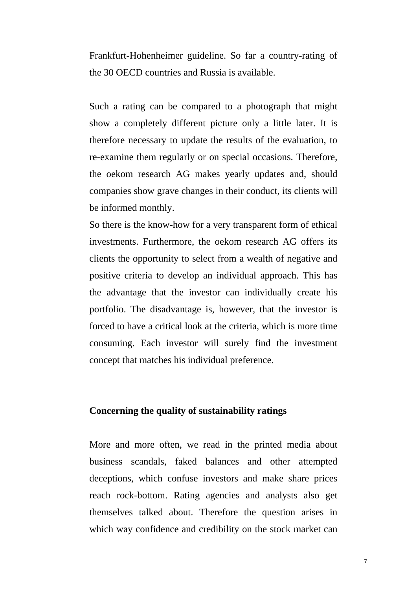Frankfurt-Hohenheimer guideline. So far a country-rating of the 30 OECD countries and Russia is available.

Such a rating can be compared to a photograph that might show a completely different picture only a little later. It is therefore necessary to update the results of the evaluation, to re-examine them regularly or on special occasions. Therefore, the oekom research AG makes yearly updates and, should companies show grave changes in their conduct, its clients will be informed monthly.

So there is the know-how for a very transparent form of ethical investments. Furthermore, the oekom research AG offers its clients the opportunity to select from a wealth of negative and positive criteria to develop an individual approach. This has the advantage that the investor can individually create his portfolio. The disadvantage is, however, that the investor is forced to have a critical look at the criteria, which is more time consuming. Each investor will surely find the investment concept that matches his individual preference.

# **Concerning the quality of sustainability ratings**

More and more often, we read in the printed media about business scandals, faked balances and other attempted deceptions, which confuse investors and make share prices reach rock-bottom. Rating agencies and analysts also get themselves talked about. Therefore the question arises in which way confidence and credibility on the stock market can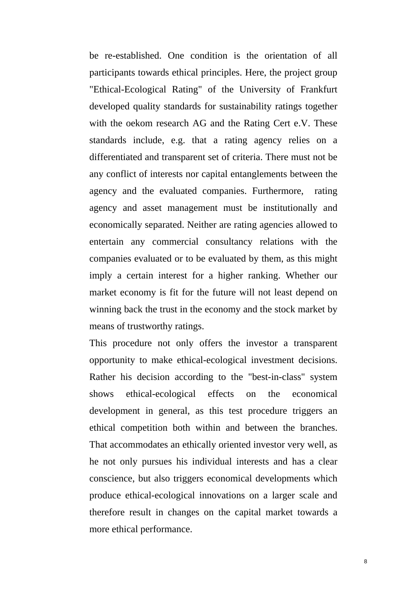be re-established. One condition is the orientation of all participants towards ethical principles. Here, the project group "Ethical-Ecological Rating" of the University of Frankfurt developed quality standards for sustainability ratings together with the oekom research AG and the Rating Cert e.V. These standards include, e.g. that a rating agency relies on a differentiated and transparent set of criteria. There must not be any conflict of interests nor capital entanglements between the agency and the evaluated companies. Furthermore, rating agency and asset management must be institutionally and economically separated. Neither are rating agencies allowed to entertain any commercial consultancy relations with the companies evaluated or to be evaluated by them, as this might imply a certain interest for a higher ranking. Whether our market economy is fit for the future will not least depend on winning back the trust in the economy and the stock market by means of trustworthy ratings.

This procedure not only offers the investor a transparent opportunity to make ethical-ecological investment decisions. Rather his decision according to the "best-in-class" system shows ethical-ecological effects on the economical development in general, as this test procedure triggers an ethical competition both within and between the branches. That accommodates an ethically oriented investor very well, as he not only pursues his individual interests and has a clear conscience, but also triggers economical developments which produce ethical-ecological innovations on a larger scale and therefore result in changes on the capital market towards a more ethical performance.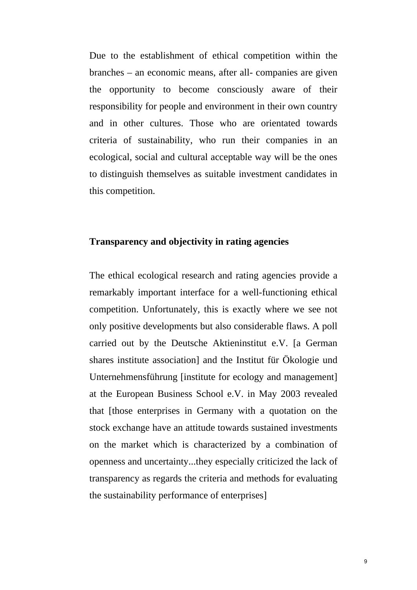Due to the establishment of ethical competition within the branches – an economic means, after all- companies are given the opportunity to become consciously aware of their responsibility for people and environment in their own country and in other cultures. Those who are orientated towards criteria of sustainability, who run their companies in an ecological, social and cultural acceptable way will be the ones to distinguish themselves as suitable investment candidates in this competition.

# **Transparency and objectivity in rating agencies**

The ethical ecological research and rating agencies provide a remarkably important interface for a well-functioning ethical competition. Unfortunately, this is exactly where we see not only positive developments but also considerable flaws. A poll carried out by the Deutsche Aktieninstitut e.V. [a German shares institute association] and the Institut für Ökologie und Unternehmensführung [institute for ecology and management] at the European Business School e.V. in May 2003 revealed that [those enterprises in Germany with a quotation on the stock exchange have an attitude towards sustained investments on the market which is characterized by a combination of openness and uncertainty...they especially criticized the lack of transparency as regards the criteria and methods for evaluating the sustainability performance of enterprises]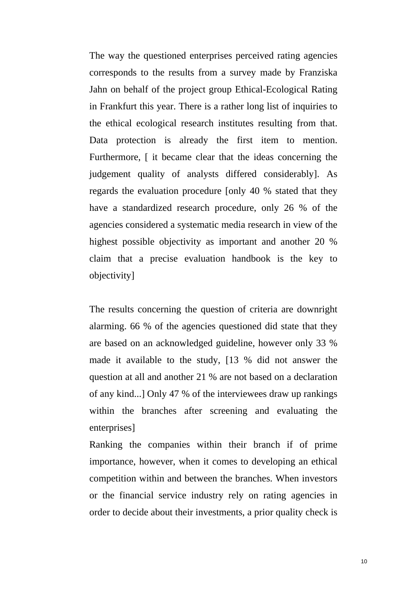The way the questioned enterprises perceived rating agencies corresponds to the results from a survey made by Franziska Jahn on behalf of the project group Ethical-Ecological Rating in Frankfurt this year. There is a rather long list of inquiries to the ethical ecological research institutes resulting from that. Data protection is already the first item to mention. Furthermore,  $\int$  it became clear that the ideas concerning the judgement quality of analysts differed considerably]. As regards the evaluation procedure [only 40 % stated that they have a standardized research procedure, only 26 % of the agencies considered a systematic media research in view of the highest possible objectivity as important and another 20 % claim that a precise evaluation handbook is the key to objectivity]

The results concerning the question of criteria are downright alarming. 66 % of the agencies questioned did state that they are based on an acknowledged guideline, however only 33 % made it available to the study, [13 % did not answer the question at all and another 21 % are not based on a declaration of any kind...] Only 47 % of the interviewees draw up rankings within the branches after screening and evaluating the enterprises]

Ranking the companies within their branch if of prime importance, however, when it comes to developing an ethical competition within and between the branches. When investors or the financial service industry rely on rating agencies in order to decide about their investments, a prior quality check is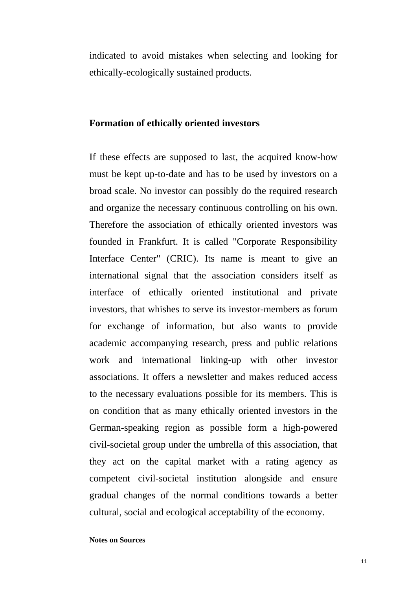indicated to avoid mistakes when selecting and looking for ethically-ecologically sustained products.

## **Formation of ethically oriented investors**

If these effects are supposed to last, the acquired know-how must be kept up-to-date and has to be used by investors on a broad scale. No investor can possibly do the required research and organize the necessary continuous controlling on his own. Therefore the association of ethically oriented investors was founded in Frankfurt. It is called "Corporate Responsibility Interface Center" (CRIC). Its name is meant to give an international signal that the association considers itself as interface of ethically oriented institutional and private investors, that whishes to serve its investor-members as forum for exchange of information, but also wants to provide academic accompanying research, press and public relations work and international linking-up with other investor associations. It offers a newsletter and makes reduced access to the necessary evaluations possible for its members. This is on condition that as many ethically oriented investors in the German-speaking region as possible form a high-powered civil-societal group under the umbrella of this association, that they act on the capital market with a rating agency as competent civil-societal institution alongside and ensure gradual changes of the normal conditions towards a better cultural, social and ecological acceptability of the economy.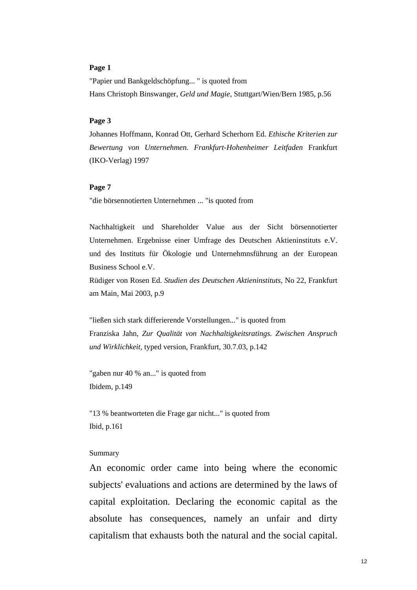#### **Page 1**

"Papier und Bankgeldschöpfung... " is quoted from Hans Christoph Binswanger, *Geld und Magie*, Stuttgart/Wien/Bern 1985, p.56

#### **Page 3**

Johannes Hoffmann, Konrad Ott, Gerhard Scherhorn Ed. *Ethische Kriterien zur Bewertung von Unternehmen. Frankfurt-Hohenheimer Leitfaden* Frankfurt (IKO-Verlag) 1997

#### **Page 7**

"die börsennotierten Unternehmen ... "is quoted from

Nachhaltigkeit und Shareholder Value aus der Sicht börsennotierter Unternehmen. Ergebnisse einer Umfrage des Deutschen Aktieninstituts e.V. und des Instituts für Ökologie und Unternehmnsführung an der European Business School e.V.

Rüdiger von Rosen Ed. *Studien des Deutschen Aktieninstituts*, No 22, Frankfurt am Main, Mai 2003, p.9

"ließen sich stark differierende Vorstellungen..." is quoted from Franziska Jahn, *Zur Qualität von Nachhaltigkeitsratings. Zwischen Anspruch und Wirklichkeit,* typed version, Frankfurt, 30.7.03, p.142

"gaben nur 40 % an..." is quoted from Ibidem, p.149

"13 % beantworteten die Frage gar nicht..." is quoted from Ibid, p.161

#### Summary

An economic order came into being where the economic subjects' evaluations and actions are determined by the laws of capital exploitation. Declaring the economic capital as the absolute has consequences, namely an unfair and dirty capitalism that exhausts both the natural and the social capital.